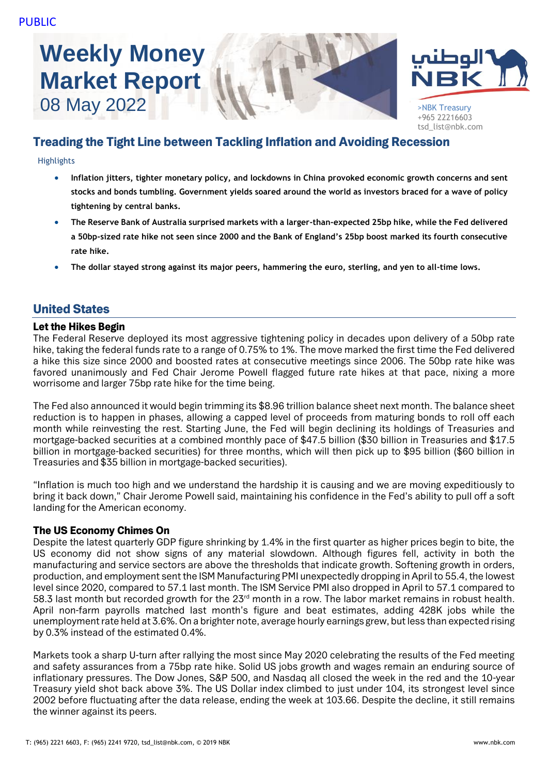# **Weekly Money Market Report**





+965 22216603 tsd\_list@nbk.com

## Treading the Tight Line between Tackling Inflation and Avoiding Recession

#### Highlights

- **Inflation jitters, tighter monetary policy, and lockdowns in China provoked economic growth concerns and sent stocks and bonds tumbling. Government yields soared around the world as investors braced for a wave of policy tightening by central banks.**
- **The Reserve Bank of Australia surprised markets with a larger-than-expected 25bp hike, while the Fed delivered a 50bp-sized rate hike not seen since 2000 and the Bank of England's 25bp boost marked its fourth consecutive rate hike.**
- **The dollar stayed strong against its major peers, hammering the euro, sterling, and yen to all-time lows.**

## United States

## Let the Hikes Begin

The Federal Reserve deployed its most aggressive tightening policy in decades upon delivery of a 50bp rate hike, taking the federal funds rate to a range of 0.75% to 1%. The move marked the first time the Fed delivered a hike this size since 2000 and boosted rates at consecutive meetings since 2006. The 50bp rate hike was favored unanimously and Fed Chair Jerome Powell flagged future rate hikes at that pace, nixing a more worrisome and larger 75bp rate hike for the time being.

The Fed also announced it would begin trimming its \$8.96 trillion balance sheet next month. The balance sheet reduction is to happen in phases, allowing a capped level of proceeds from maturing bonds to roll off each month while reinvesting the rest. Starting June, the Fed will begin declining its holdings of Treasuries and mortgage-backed securities at a combined monthly pace of \$47.5 billion (\$30 billion in Treasuries and \$17.5 billion in mortgage-backed securities) for three months, which will then pick up to \$95 billion (\$60 billion in Treasuries and \$35 billion in mortgage-backed securities).

"Inflation is much too high and we understand the hardship it is causing and we are moving expeditiously to bring it back down," Chair Jerome Powell said, maintaining his confidence in the Fed's ability to pull off a soft landing for the American economy.

## The US Economy Chimes On

Despite the latest quarterly GDP figure shrinking by 1.4% in the first quarter as higher prices begin to bite, the US economy did not show signs of any material slowdown. Although figures fell, activity in both the manufacturing and service sectors are above the thresholds that indicate growth. Softening growth in orders, production, and employment sent the ISM Manufacturing PMI unexpectedly dropping in April to 55.4, the lowest level since 2020, compared to 57.1 last month. The ISM Service PMI also dropped in April to 57.1 compared to 58.3 last month but recorded growth for the 23<sup>rd</sup> month in a row. The labor market remains in robust health. April non-farm payrolls matched last month's figure and beat estimates, adding 428K jobs while the unemployment rate held at 3.6%. On a brighter note, average hourly earnings grew, but less than expected rising by 0.3% instead of the estimated 0.4%.

Markets took a sharp U-turn after rallying the most since May 2020 celebrating the results of the Fed meeting and safety assurances from a 75bp rate hike. Solid US jobs growth and wages remain an enduring source of inflationary pressures. The Dow Jones, S&P 500, and Nasdaq all closed the week in the red and the 10-year Treasury yield shot back above 3%. The US Dollar index climbed to just under 104, its strongest level since 2002 before fluctuating after the data release, ending the week at 103.66. Despite the decline, it still remains the winner against its peers.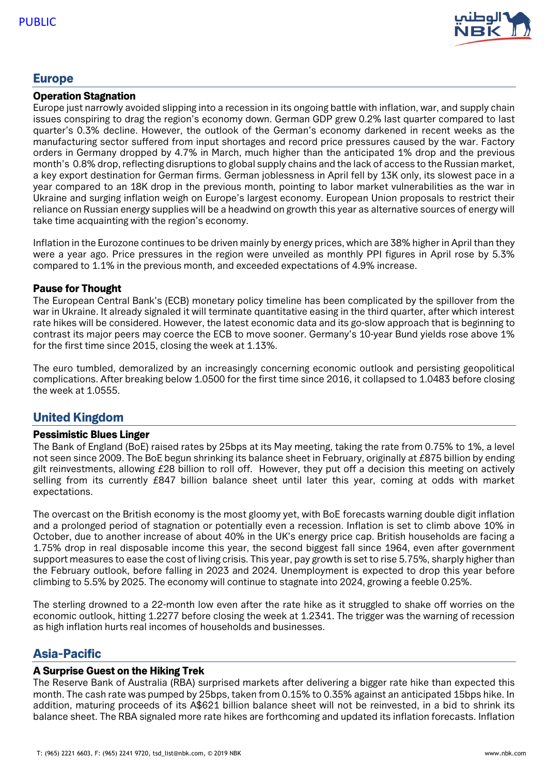

## Europe

#### Operation Stagnation

Europe just narrowly avoided slipping into a recession in its ongoing battle with inflation, war, and supply chain issues conspiring to drag the region's economy down. German GDP grew 0.2% last quarter compared to last quarter's 0.3% decline. However, the outlook of the German's economy darkened in recent weeks as the manufacturing sector suffered from input shortages and record price pressures caused by the war. Factory orders in Germany dropped by 4.7% in March, much higher than the anticipated 1% drop and the previous month's 0.8% drop, reflecting disruptions to global supply chains and the lack of access to the Russian market, a key export destination for German firms. German joblessness in April fell by 13K only, its slowest pace in a year compared to an 18K drop in the previous month, pointing to labor market vulnerabilities as the war in Ukraine and surging inflation weigh on Europe's largest economy. European Union proposals to restrict their reliance on Russian energy supplies will be a headwind on growth this year as alternative sources of energy will take time acquainting with the region's economy.

Inflation in the Eurozone continues to be driven mainly by energy prices, which are 38% higher in April than they were a year ago. Price pressures in the region were unveiled as monthly PPI figures in April rose by 5.3% compared to 1.1% in the previous month, and exceeded expectations of 4.9% increase.

#### Pause for Thought

The European Central Bank's (ECB) monetary policy timeline has been complicated by the spillover from the war in Ukraine. It already signaled it will terminate quantitative easing in the third quarter, after which interest rate hikes will be considered. However, the latest economic data and its go-slow approach that is beginning to contrast its major peers may coerce the ECB to move sooner. Germany's 10-year Bund yields rose above 1% for the first time since 2015, closing the week at 1.13%.

The euro tumbled, demoralized by an increasingly concerning economic outlook and persisting geopolitical complications. After breaking below 1.0500 for the first time since 2016, it collapsed to 1.0483 before closing the week at 1.0555.

## United Kingdom

#### Pessimistic Blues Linger

The Bank of England (BoE) raised rates by 25bps at its May meeting, taking the rate from 0.75% to 1%, a level not seen since 2009. The BoE begun shrinking its balance sheet in February, originally at £875 billion by ending gilt reinvestments, allowing £28 billion to roll off. However, they put off a decision this meeting on actively selling from its currently £847 billion balance sheet until later this year, coming at odds with market expectations.

The overcast on the British economy is the most gloomy yet, with BoE forecasts warning double digit inflation and a prolonged period of stagnation or potentially even a recession. Inflation is set to climb above 10% in October, due to another increase of about 40% in the UK's energy price cap. British households are facing a 1.75% drop in real disposable income this year, the second biggest fall since 1964, even after government support measures to ease the cost of living crisis. This year, pay growth is set to rise 5.75%, sharply higher than the February outlook, before falling in 2023 and 2024. Unemployment is expected to drop this year before climbing to 5.5% by 2025. The economy will continue to stagnate into 2024, growing a feeble 0.25%.

The sterling drowned to a 22-month low even after the rate hike as it struggled to shake off worries on the economic outlook, hitting 1.2277 before closing the week at 1.2341. The trigger was the warning of recession as high inflation hurts real incomes of households and businesses.

## Asia-Pacific

## A Surprise Guest on the Hiking Trek

The Reserve Bank of Australia (RBA) surprised markets after delivering a bigger rate hike than expected this month. The cash rate was pumped by 25bps, taken from 0.15% to 0.35% against an anticipated 15bps hike. In addition, maturing proceeds of its A\$621 billion balance sheet will not be reinvested, in a bid to shrink its balance sheet. The RBA signaled more rate hikes are forthcoming and updated its inflation forecasts. Inflation